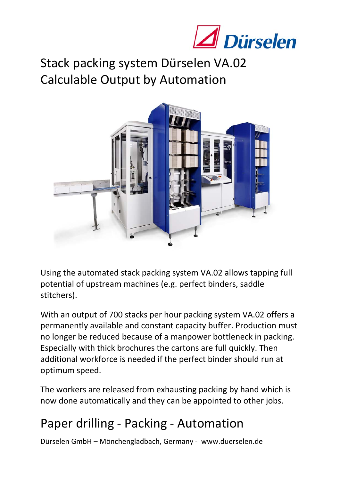

Stack packing system Dürselen VA.02 Calculable Output by Automation



Using the automated stack packing system VA.02 allows tapping full potential of upstream machines (e.g. perfect binders, saddle stitchers).

With an output of 700 stacks per hour packing system VA.02 offers a permanently available and constant capacity buffer. Production must no longer be reduced because of a manpower bottleneck in packing. Especially with thick brochures the cartons are full quickly. Then additional workforce is needed if the perfect binder should run at optimum speed.

The workers are released from exhausting packing by hand which is now done automatically and they can be appointed to other jobs.

## Paper drilling ‐ Packing ‐ Automation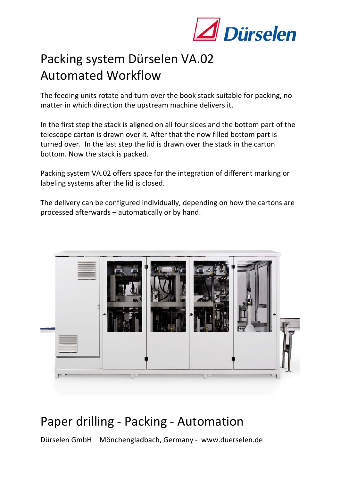

# Packing system Dürselen VA.02 Automated Workflow

The feeding units rotate and turn‐over the book stack suitable for packing, no matter in which direction the upstream machine delivers it.

In the first step the stack is aligned on all four sides and the bottom part of the telescope carton is drawn over it. After that the now filled bottom part is turned over. In the last step the lid is drawn over the stack in the carton bottom. Now the stack is packed.

Packing system VA.02 offers space for the integration of different marking or labeling systems after the lid is closed.

The delivery can be configured individually, depending on how the cartons are processed afterwards – automatically or by hand.



#### Paper drilling ‐ Packing ‐ Automation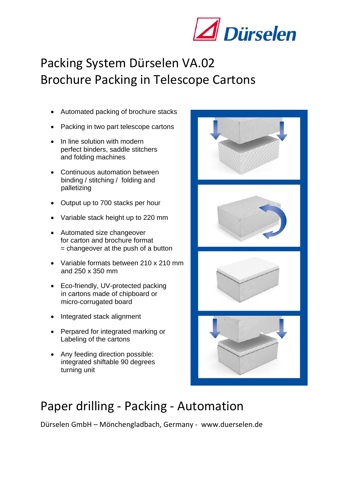

## Packing System Dürselen VA.02 Brochure Packing in Telescope Cartons

- Automated packing of brochure stacks
- Packing in two part telescope cartons
- In line solution with modern perfect binders, saddle stitchers and folding machines
- Continuous automation between binding / stitching / folding and palletizing
- Output up to 700 stacks per hour
- Variable stack height up to 220 mm
- Automated size changeover for carton and brochure format  $=$  changeover at the push of a button
- Variable formats between 210 x 210 mm and 250 x 350 mm
- Eco-friendly, UV-protected packing in cartons made of chipboard or micro-corrugated board
- Integrated stack alignment
- Perpared for integrated marking or Labeling of the cartons
- Any feeding direction possible: integrated shiftable 90 degrees turning unit



## Paper drilling ‐ Packing ‐ Automation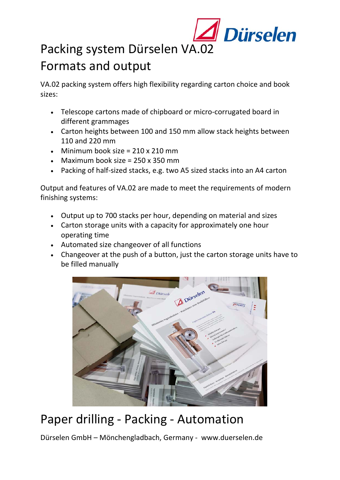

#### Packing system Dürselen VA.02 Formats and output

VA.02 packing system offers high flexibility regarding carton choice and book sizes:

- Telescope cartons made of chipboard or micro‐corrugated board in different grammages
- Carton heights between 100 and 150 mm allow stack heights between 110 and 220 mm
- Minimum book size =  $210 \times 210$  mm
- Maximum book size =  $250 \times 350$  mm
- Packing of half-sized stacks, e.g. two A5 sized stacks into an A4 carton

Output and features of VA.02 are made to meet the requirements of modern finishing systems:

- Output up to 700 stacks per hour, depending on material and sizes
- Carton storage units with a capacity for approximately one hour operating time
- Automated size changeover of all functions
- Changeover at the push of a button, just the carton storage units have to be filled manually



## Paper drilling ‐ Packing ‐ Automation